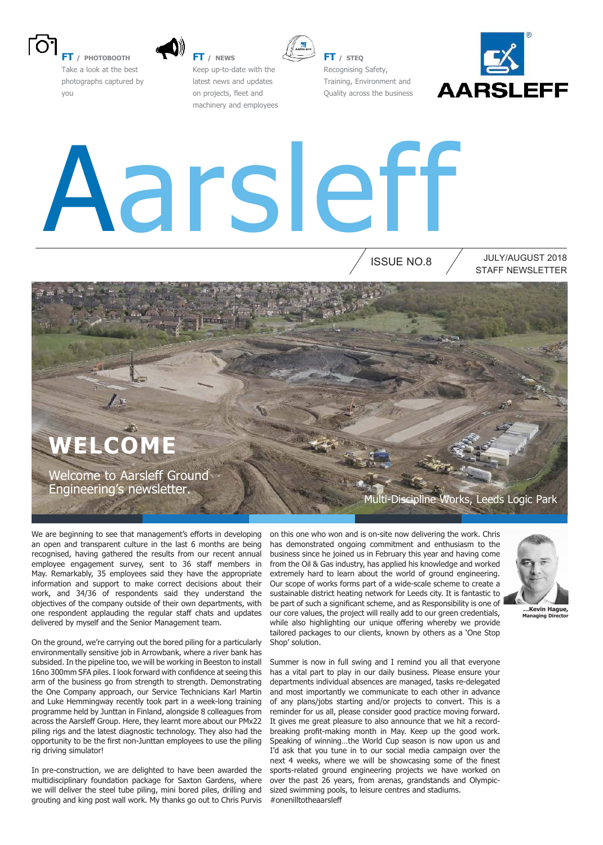

**FT / PHOTOBOOTH** Take a look at the best photographs captured by you



**FT / NEWS** Keep up-to-date with the latest news and updates on projects, fleet and machinery and employees



**FT / STEQ** Recognising Safety, Training, Environment and Quality across the business



# Aarsleff

ISSUE NO.8

STAFF NEWSLETTER JULY/AUGUST 2018

### **WELCOME**

Welcome to Aarsleff Ground Engineering's newsletter.

We are beginning to see that management's efforts in developing an open and transparent culture in the last 6 months are being recognised, having gathered the results from our recent annual employee engagement survey, sent to 36 staff members in May. Remarkably, 35 employees said they have the appropriate information and support to make correct decisions about their work, and 34/36 of respondents said they understand the objectives of the company outside of their own departments, with one respondent applauding the regular staff chats and updates delivered by myself and the Senior Management team.

On the ground, we're carrying out the bored piling for a particularly environmentally sensitive job in Arrowbank, where a river bank has subsided. In the pipeline too, we will be working in Beeston to install 16no 300mm SFA piles. I look forward with confidence at seeing this arm of the business go from strength to strength. Demonstrating the One Company approach, our Service Technicians Karl Martin and Luke Hemmingway recently took part in a week-long training programme held by Junttan in Finland, alongside 8 colleagues from across the Aarsleff Group. Here, they learnt more about our PMx22 piling rigs and the latest diagnostic technology. They also had the opportunity to be the first non-Junttan employees to use the piling rig driving simulator!

In pre-construction, we are delighted to have been awarded the multidisciplinary foundation package for Saxton Gardens, where we will deliver the steel tube piling, mini bored piles, drilling and grouting and king post wall work. My thanks go out to Chris Purvis Multi-Discipline Works, Leeds Logic Park

on this one who won and is on-site now delivering the work. Chris has demonstrated ongoing commitment and enthusiasm to the business since he joined us in February this year and having come from the Oil & Gas industry, has applied his knowledge and worked extremely hard to learn about the world of ground engineering. Our scope of works forms part of a wide-scale scheme to create a sustainable district heating network for Leeds city. It is fantastic to be part of such a significant scheme, and as Responsibility is one of our core values, the project will really add to our green credentials, while also highlighting our unique offering whereby we provide tailored packages to our clients, known by others as a 'One Stop Shop' solution.



**Managing Director** 

Summer is now in full swing and I remind you all that everyone has a vital part to play in our daily business. Please ensure your departments individual absences are managed, tasks re-delegated and most importantly we communicate to each other in advance of any plans/jobs starting and/or projects to convert. This is a reminder for us all, please consider good practice moving forward. It gives me great pleasure to also announce that we hit a recordbreaking profit-making month in May. Keep up the good work. Speaking of winning…the World Cup season is now upon us and I'd ask that you tune in to our social media campaign over the next 4 weeks, where we will be showcasing some of the finest sports-related ground engineering projects we have worked on over the past 26 years, from arenas, grandstands and Olympicsized swimming pools, to leisure centres and stadiums. #onenilltotheaarslef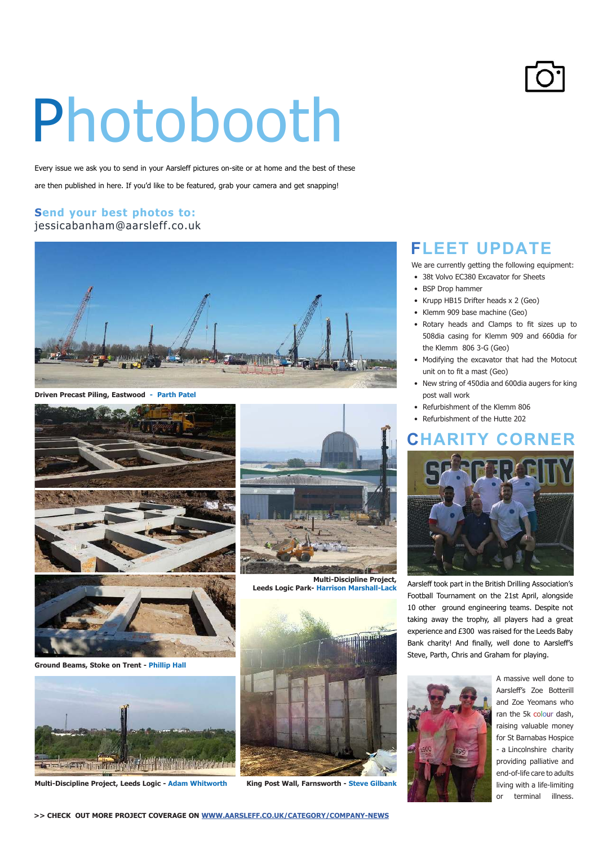# Photobooth

Every issue we ask you to send in your Aarsleff pictures on-site or at home and the best of these

are then published in here. If you'd like to be featured, grab your camera and get snapping!

#### **Send your best photos to:** jessicabanham@aarsleff.co.uk



**Driven Precast Piling, Eastwood - Parth Patel**



**Ground Beams, Stoke on Trent - Phillip Hall**



**Multi-Discipline Project, Leeds Logic - Adam Whitworth**



**Multi-Discipline Project, Leeds Logic Park- Harrison Marshall-Lack**



**King Post Wall, Farnsworth - Steve Gilbank**

#### **FLEET UPDATE**

We are currently getting the following equipment:

- 38t Volvo EC380 Excavator for Sheets
- BSP Drop hammer
- Krupp HB15 Drifter heads x 2 (Geo)
- Klemm 909 base machine (Geo)
- Rotary heads and Clamps to fit sizes up to 508dia casing for Klemm 909 and 660dia for the Klemm 806 3-G (Geo)
- Modifying the excavator that had the Motocut unit on to fit a mast (Geo)
- New string of 450dia and 600dia augers for king post wall work
- Refurbishment of the Klemm 806
- Refurbishment of the Hutte 202

#### **HARITY CORNER**



Aarsleff took part in the British Drilling Association's Football Tournament on the 21st April, alongside 10 other ground engineering teams. Despite not taking away the trophy, all players had a great experience and £300 was raised for the Leeds Baby Bank charity! And finally, well done to Aarsleff's Steve, Parth, Chris and Graham for playing.



A massive well done to Aarslef's Zoe Botterill and Zoe Yeomans who ran the 5k colour dash, raising valuable money for St Barnabas Hospice - a Lincolnshire charity providing palliative and end-of-life care to adults living with a life-limiting or terminal illness.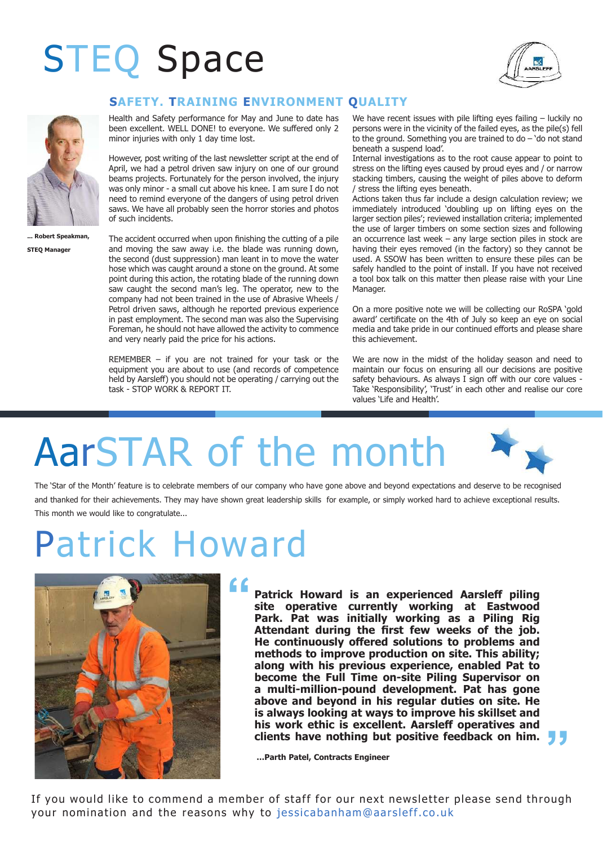### STEQ Space





**bert Speakman STEQ Manager**

#### **SAFETY. TRAINING ENVIRONMENT QUALITY**

Health and Safety performance for May and June to date has been excellent. WELL DONE! to everyone. We suffered only 2 minor injuries with only 1 day time lost.

However, post writing of the last newsletter script at the end of April, we had a petrol driven saw injury on one of our ground beams projects. Fortunately for the person involved, the injury was only minor - a small cut above his knee. I am sure I do not need to remind everyone of the dangers of using petrol driven saws. We have all probably seen the horror stories and photos of such incidents.

The accident occurred when upon finishing the cutting of a pile and moving the saw away i.e. the blade was running down, the second (dust suppression) man leant in to move the water hose which was caught around a stone on the ground. At some point during this action, the rotating blade of the running down saw caught the second man's leg. The operator, new to the company had not been trained in the use of Abrasive Wheels / Petrol driven saws, although he reported previous experience in past employment. The second man was also the Supervising Foreman, he should not have allowed the activity to commence and very nearly paid the price for his actions.

REMEMBER – if you are not trained for your task or the equipment you are about to use (and records of competence held by Aarsleff) you should not be operating / carrying out the task - STOP WORK & REPORT IT.

We have recent issues with pile lifting eyes failing - luckily no persons were in the vicinity of the failed eyes, as the pile(s) fell to the ground. Something you are trained to do – 'do not stand beneath a suspend load'.

Internal investigations as to the root cause appear to point to stress on the lifting eyes caused by proud eyes and / or narrow stacking timbers, causing the weight of piles above to deform / stress the lifting eyes beneath.

Actions taken thus far include a design calculation review; we immediately introduced 'doubling up on lifting eyes on the larger section piles'; reviewed installation criteria; implemented the use of larger timbers on some section sizes and following an occurrence last week – any large section piles in stock are having their eyes removed (in the factory) so they cannot be used. A SSOW has been written to ensure these piles can be safely handled to the point of install. If you have not received a tool box talk on this matter then please raise with your Line Manager.

On a more positive note we will be collecting our RoSPA 'gold award' certificate on the 4th of July so keep an eye on social media and take pride in our continued eforts and please share this achievement.

We are now in the midst of the holiday season and need to maintain our focus on ensuring all our decisions are positive safety behaviours. As always I sign off with our core values -Take 'Responsibility', 'Trust' in each other and realise our core values 'Life and Health'.

**"**

# AarSTAR of the month

The 'Star of the Month' feature is to celebrate members of our company who have gone above and beyond expectations and deserve to be recognised and thanked for their achievements. They may have shown great leadership skills for example, or simply worked hard to achieve exceptional results. This month we would like to congratulate...

### Patrick Howard



Patrick Howard is an experienced Aarsleff piling **site operative currently working at Eastwood Park. Pat was initially working as a Piling Rig**  Attendant during the first few weeks of the job. **He continuously ofered solutions to problems and methods to improve production on site. This ability; along with his previous experience, enabled Pat to become the Full Time on-site Piling Supervisor on a multi-million-pound development. Pat has gone above and beyond in his regular duties on site. He is always looking at ways to improve his skillset and**  his work ethic is excellent. Aarsleff operatives and **clients have nothing but positive feedback on him.** 

**…Parth Patel, Contracts Engineer**

If you would like to commend a member of staff for our next newsletter please send through your nomination and the reasons why to jessicabanham@aarsleff.co.uk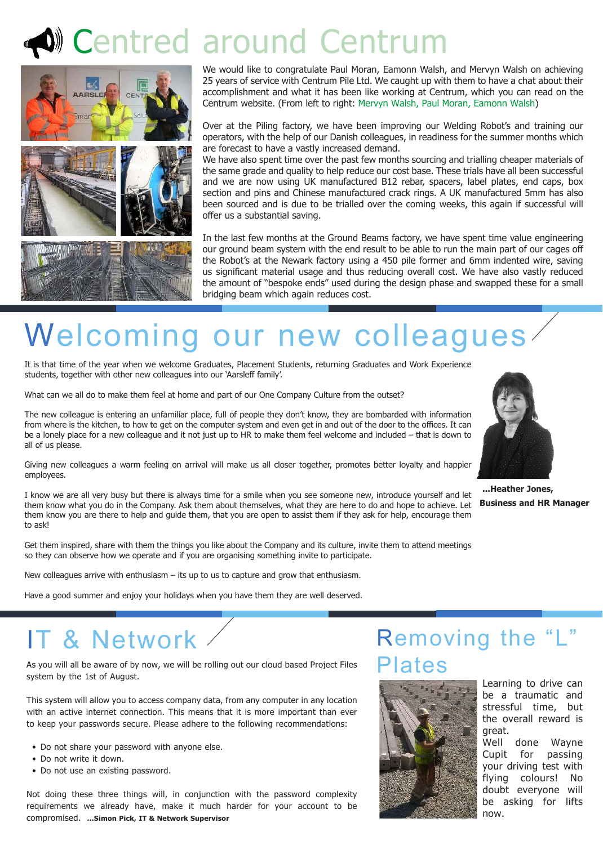### Centred around Centrum



We would like to congratulate Paul Moran, Eamonn Walsh, and Mervyn Walsh on achieving 25 years of service with Centrum Pile Ltd. We caught up with them to have a chat about their accomplishment and what it has been like working at Centrum, which you can read on the Centrum website. (From left to right: Mervyn Walsh, Paul Moran, Eamonn Walsh)

Over at the Piling factory, we have been improving our Welding Robot's and training our operators, with the help of our Danish colleagues, in readiness for the summer months which are forecast to have a vastly increased demand.

We have also spent time over the past few months sourcing and trialling cheaper materials of the same grade and quality to help reduce our cost base. These trials have all been successful and we are now using UK manufactured B12 rebar, spacers, label plates, end caps, box section and pins and Chinese manufactured crack rings. A UK manufactured 5mm has also been sourced and is due to be trialled over the coming weeks, this again if successful will offer us a substantial saving.

In the last few months at the Ground Beams factory, we have spent time value engineering our ground beam system with the end result to be able to run the main part of our cages of the Robot's at the Newark factory using a 450 pile former and 6mm indented wire, saving us significant material usage and thus reducing overall cost. We have also vastly reduced the amount of "bespoke ends" used during the design phase and swapped these for a small bridging beam which again reduces cost.

### Welcoming our new colleagues

It is that time of the year when we welcome Graduates, Placement Students, returning Graduates and Work Experience students, together with other new colleagues into our 'Aarsleff family'.

What can we all do to make them feel at home and part of our One Company Culture from the outset?

The new colleague is entering an unfamiliar place, full of people they don't know, they are bombarded with information from where is the kitchen, to how to get on the computer system and even get in and out of the door to the offices. It can be a lonely place for a new colleague and it not just up to HR to make them feel welcome and included – that is down to all of us please.

Giving new colleagues a warm feeling on arrival will make us all closer together, promotes better loyalty and happier employees.

I know we are all very busy but there is always time for a smile when you see someone new, introduce yourself and let them know what you do in the Company. Ask them about themselves, what they are here to do and hope to achieve. Let them know you are there to help and guide them, that you are open to assist them if they ask for help, encourage them to ask!

Get them inspired, share with them the things you like about the Company and its culture, invite them to attend meetings so they can observe how we operate and if you are organising something invite to participate.

New colleagues arrive with enthusiasm – its up to us to capture and grow that enthusiasm.

Have a good summer and enjoy your holidays when you have them they are well deserved.

**...Heather Jones, Business and HR Manager**

### IT & Network

As you will all be aware of by now, we will be rolling out our cloud based Project Files system by the 1st of August.

This system will allow you to access company data, from any computer in any location with an active internet connection. This means that it is more important than ever to keep your passwords secure. Please adhere to the following recommendations:

- Do not share your password with anyone else.
- Do not write it down.
- Do not use an existing password.

Not doing these three things will, in conjunction with the password complexity requirements we already have, make it much harder for your account to be compromised. **...Simon Pick, IT & Network Supervisor**

#### Removing the "L" ates



Learning to drive can be a traumatic and stressful time, but the overall reward is great.

Well done Wayne Cupit for passing your driving test with flying colours! No doubt everyone will be asking for lifts now.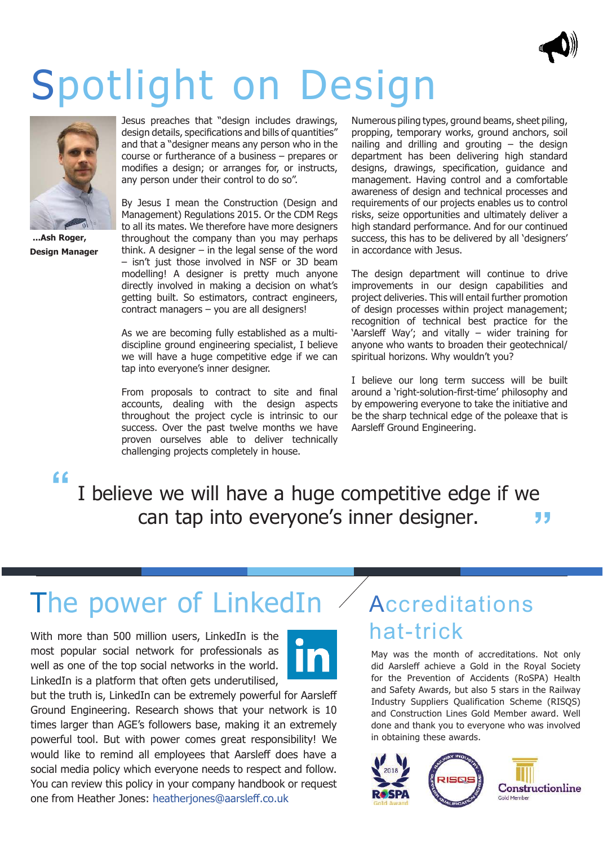

## Spotlight on Design



**...Ash Roger, Design Manager**

Jesus preaches that "design includes drawings, design details, specifications and bills of quantities" and that a "designer means any person who in the course or furtherance of a business – prepares or modifies a design; or arranges for, or instructs, any person under their control to do so".

By Jesus I mean the Construction (Design and Management) Regulations 2015. Or the CDM Regs to all its mates. We therefore have more designers throughout the company than you may perhaps think. A designer  $-$  in the legal sense of the word – isn't just those involved in NSF or 3D beam modelling! A designer is pretty much anyone directly involved in making a decision on what's getting built. So estimators, contract engineers, contract managers – you are all designers!

As we are becoming fully established as a multidiscipline ground engineering specialist, I believe we will have a huge competitive edge if we can tap into everyone's inner designer.

From proposals to contract to site and final accounts, dealing with the design aspects throughout the project cycle is intrinsic to our success. Over the past twelve months we have proven ourselves able to deliver technically challenging projects completely in house.

Numerous piling types, ground beams, sheet piling, propping, temporary works, ground anchors, soil nailing and drilling and grouting  $-$  the design department has been delivering high standard designs, drawings, specification, guidance and management. Having control and a comfortable awareness of design and technical processes and requirements of our projects enables us to control risks, seize opportunities and ultimately deliver a high standard performance. And for our continued success, this has to be delivered by all 'designers' in accordance with Jesus.

The design department will continue to drive improvements in our design capabilities and project deliveries. This will entail further promotion of design processes within project management; recognition of technical best practice for the 'Aarsleff Way'; and vitally  $-$  wider training for anyone who wants to broaden their geotechnical/ spiritual horizons. Why wouldn't you?

I believe our long term success will be built around a 'right-solution-first-time' philosophy and by empowering everyone to take the initiative and be the sharp technical edge of the poleaxe that is Aarsleff Ground Engineering.

**" "** I believe we will have a huge competitive edge if we can tap into everyone's inner designer.

### The power of LinkedIn

With more than 500 million users, LinkedIn is the most popular social network for professionals as well as one of the top social networks in the world. LinkedIn is a platform that often gets underutilised,



but the truth is, LinkedIn can be extremely powerful for Aarslef Ground Engineering. Research shows that your network is 10 times larger than AGE's followers base, making it an extremely powerful tool. But with power comes great responsibility! We would like to remind all employees that Aarsleff does have a social media policy which everyone needs to respect and follow. You can review this policy in your company handbook or request one from Heather Jones: heatherjones@aarslef.co.uk

### Accreditations hat-trick

May was the month of accreditations. Not only did Aarsleff achieve a Gold in the Royal Society for the Prevention of Accidents (RoSPA) Health and Safety Awards, but also 5 stars in the Railway Industry Suppliers Qualification Scheme (RISQS) and Construction Lines Gold Member award. Well done and thank you to everyone who was involved in obtaining these awards.